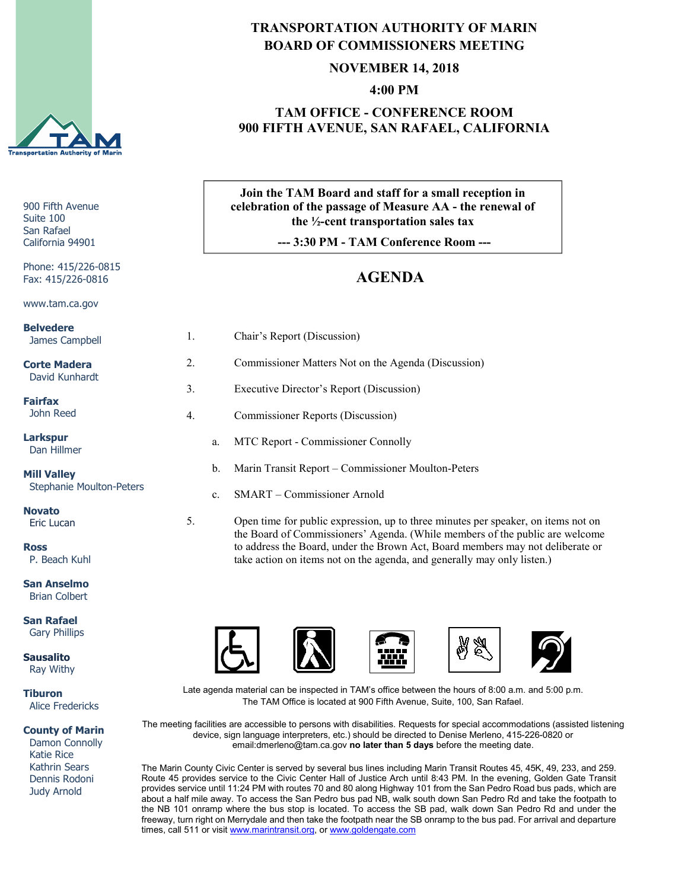

900 Fifth Avenue Suite 100 San Rafael California 94901

Phone: 415/226-0815 Fax: 415/226-0816

www.tam.ca.gov

**Belvedere** James Campbell

**Corte Madera** David Kunhardt

**Fairfax** John Reed

**Larkspur** Dan Hillmer

**Mill Valley** Stephanie Moulton-Peters

**Novato** Eric Lucan

**Ross** P. Beach Kuhl

**San Anselmo** Brian Colbert

**San Rafael** Gary Phillips

**Sausalito** Ray Withy

**Tiburon** Alice Fredericks

**County of Marin**

 Damon Connolly Katie Rice Kathrin Sears Dennis Rodoni Judy Arnold

## **TRANSPORTATION AUTHORITY OF MARIN BOARD OF COMMISSIONERS MEETING**

#### **NOVEMBER 14, 2018**

**4:00 PM**

#### **TAM OFFICE - CONFERENCE ROOM 900 FIFTH AVENUE, SAN RAFAEL, CALIFORNIA**

### **Join the TAM Board and staff for a small reception in celebration of the passage of Measure AA - the renewal of the ½-cent transportation sales tax**

**--- 3:30 PM - TAM Conference Room ---**

# **AGENDA**

| 1. |                | Chair's Report (Discussion)                             |
|----|----------------|---------------------------------------------------------|
| 2. |                | Commissioner Matters Not on the Agenda (Discussion)     |
| 3. |                | Executive Director's Report (Discussion)                |
| 4. |                | Commissioner Reports (Discussion)                       |
|    | a.             | MTC Report - Commissioner Connolly                      |
|    | b.             | Marin Transit Report - Commissioner Moulton-Peters      |
|    | $\mathbf{c}$ . | SMART - Commissioner Arnold                             |
| 5. |                | Open time for public expression, up to three minutes pe |

time the public expeaker, on items not on up to the minutes per speaker, on items not on the Board of Commissioners' Agenda. (While members of the public are welcome to address the Board, under the Brown Act, Board members may not deliberate or take action on items not on the agenda, and generally may only listen.)



Late agenda material can be inspected in TAM's office between the hours of 8:00 a.m. and 5:00 p.m. The TAM Office is located at 900 Fifth Avenue, Suite, 100, San Rafael.

The meeting facilities are accessible to persons with disabilities. Requests for special accommodations (assisted listening device, sign language interpreters, etc.) should be directed to Denise Merleno, 415-226-0820 or email:dmerleno@tam.ca.gov **no later than 5 days** before the meeting date.

The Marin County Civic Center is served by several bus lines including Marin Transit Routes 45, 45K, 49, 233, and 259. Route 45 provides service to the Civic Center Hall of Justice Arch until 8:43 PM. In the evening, Golden Gate Transit provides service until 11:24 PM with routes 70 and 80 along Highway 101 from the San Pedro Road bus pads, which are about a half mile away. To access the San Pedro bus pad NB, walk south down San Pedro Rd and take the footpath to the NB 101 onramp where the bus stop is located. To access the SB pad, walk down San Pedro Rd and under the freeway, turn right on Merrydale and then take the footpath near the SB onramp to the bus pad. For arrival and departure times, call 511 or visit [www.marintransit.org,](file://tamfs2/tam/03.%20TAM%20BOARDS%20&%20COMMITTEES/03.01%20TAM%20Board/03.01.03%20Board%20Packets/www.marintransit.org) o[r www.goldengate.com](file://tamfs2/tam/03.%20TAM%20BOARDS%20&%20COMMITTEES/03.01%20TAM%20Board/03.01.03%20Board%20Packets/www.goldengate.com)